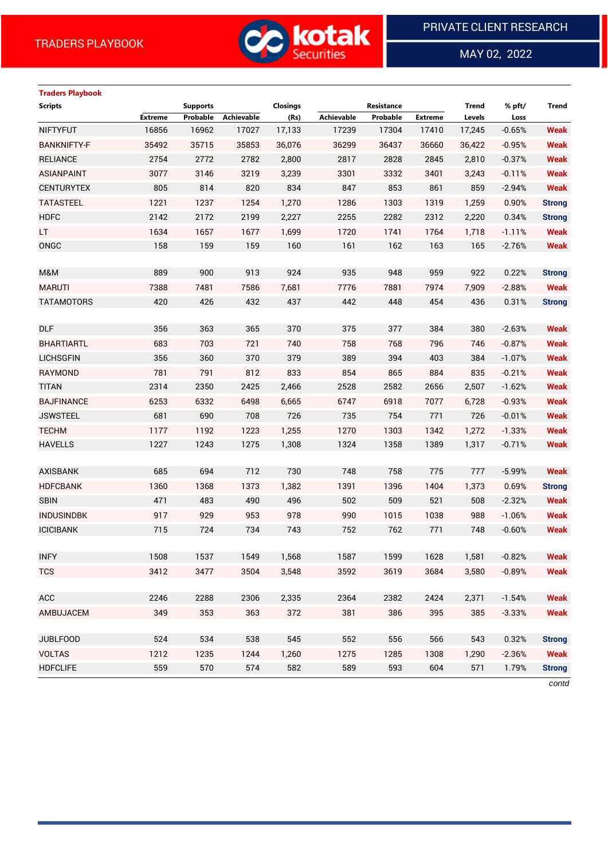**Traders Playbook**



MAY 02, 2022

 $\overline{a}$ 

# **Scripts Supports Closings Resistance Trend % pft/ Trend Extreme Probable Achievable (Rs) Achievable Probable Extreme Levels Loss** NIFTYFUT 16856 16962 17027 17,133 17239 17304 17410 17,245 -0.65% **Weak** BANKNIFTY-F 35492 35715 35853 36,076 36299 36437 36660 36,422 -0.95% **Weak** RELIANCE 2754 2772 2782 2,800 2817 2828 2845 2,810 -0.37% **Weak** ASIANPAINT 3077 3146 3219 3,239 3301 3332 3401 3,243 -0.11% **Weak** CENTURYTEX 805 814 820 834 847 853 861 859 -2.94% **Weak** TATASTEEL 1221 1237 1254 1,270 1286 1303 1319 1,259 0.90% **Strong** HDFC 2142 2172 2199 2,227 2255 2282 2312 2,220 0.34% **Strong** LT 1634 1657 1677 1,699 1720 1741 1764 1,718 -1.11% **Weak** ONGC 158 159 159 160 161 162 163 165 -2.76% **Weak** M&M 889 900 913 924 935 948 959 922 0.22% **Strong** MARUTI 7388 7481 7586 7,681 7776 7881 7974 7,909 -2.88% **Weak** TATAMOTORS 420 426 432 437 442 448 454 436 0.31% **Strong** DLF 356 363 365 370 375 377 384 380 -2.63% **Weak** BHARTIARTL 683 703 721 740 758 768 796 746 -0.87% **Weak** LICHSGFIN 356 360 370 379 389 394 403 384 -1.07% **Weak** RAYMOND 781 791 812 833 854 865 884 835 -0.21% **Weak** TITAN 2314 2350 2425 2,466 2528 2582 2656 2,507 -1.62% **Weak** BAJFINANCE 6253 6332 6498 6,665 6747 6918 7077 6,728 -0.93% **Weak** JSWSTEEL 681 690 708 726 735 754 771 726 -0.01% **Weak** TECHM 1177 1192 1223 1,255 1270 1303 1342 1,272 -1.33% **Weak** HAVELLS 1227 1243 1275 1,308 1324 1358 1389 1,317 -0.71% **Weak** AXISBANK 685 694 712 730 748 758 775 777 -5.99% **Weak** HDFCBANK 1360 1368 1373 1,382 1391 1396 1404 1,373 0.69% **Strong** SBIN 471 483 490 496 502 509 521 508 -2.32% **Weak** INDUSINDBK 917 929 953 978 990 1015 1038 988 -1.06% **Weak** ICICIBANK 715 724 734 743 752 762 771 748 -0.60% **Weak** INFY 1508 1537 1549 1,568 1587 1599 1628 1,581 -0.82% **Weak** TCS 3412 3477 3504 3,548 3592 3619 3684 3,580 -0.89% **Weak** ACC 2246 2288 2306 2,335 2364 2382 2424 2,371 -1.54% **Weak** AMBUJACEM 349 353 363 372 381 386 395 385 -3.33% **Weak** JUBLFOOD 524 534 538 545 552 556 566 543 0.32% **Strong** VOLTAS 1212 1235 1244 1,260 1275 1285 1308 1,290 -2.36% **Weak** HDFCLIFE 559 570 574 582 589 593 604 571 1.79% **Strong**

*contd*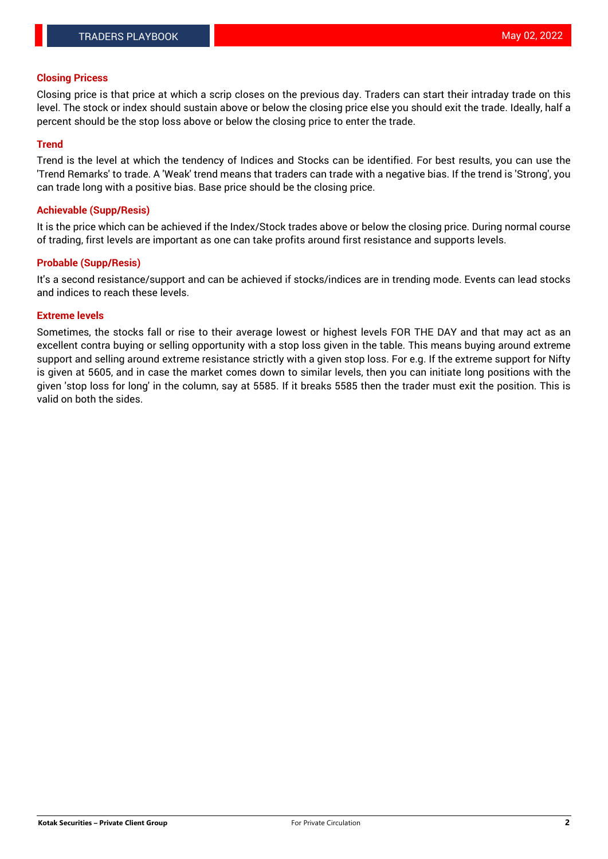### **Closing Pricess**

Closing price is that price at which a scrip closes on the previous day. Traders can start their intraday trade on this level. The stock or index should sustain above or below the closing price else you should exit the trade. Ideally, half a percent should be the stop loss above or below the closing price to enter the trade.

## **Trend**

Trend is the level at which the tendency of Indices and Stocks can be identified. For best results, you can use the 'Trend Remarks' to trade. A 'Weak' trend means that traders can trade with a negative bias. If the trend is 'Strong', you can trade long with a positive bias. Base price should be the closing price.

### **Achievable (Supp/Resis)**

It is the price which can be achieved if the Index/Stock trades above or below the closing price. During normal course of trading, first levels are important as one can take profits around first resistance and supports levels.

# **Probable (Supp/Resis)**

It's a second resistance/support and can be achieved if stocks/indices are in trending mode. Events can lead stocks and indices to reach these levels.

### **Extreme levels**

Sometimes, the stocks fall or rise to their average lowest or highest levels FOR THE DAY and that may act as an excellent contra buying or selling opportunity with a stop loss given in the table. This means buying around extreme support and selling around extreme resistance strictly with a given stop loss. For e.g. If the extreme support for Nifty is given at 5605, and in case the market comes down to similar levels, then you can initiate long positions with the given 'stop loss for long' in the column, say at 5585. If it breaks 5585 then the trader must exit the position. This is valid on both the sides.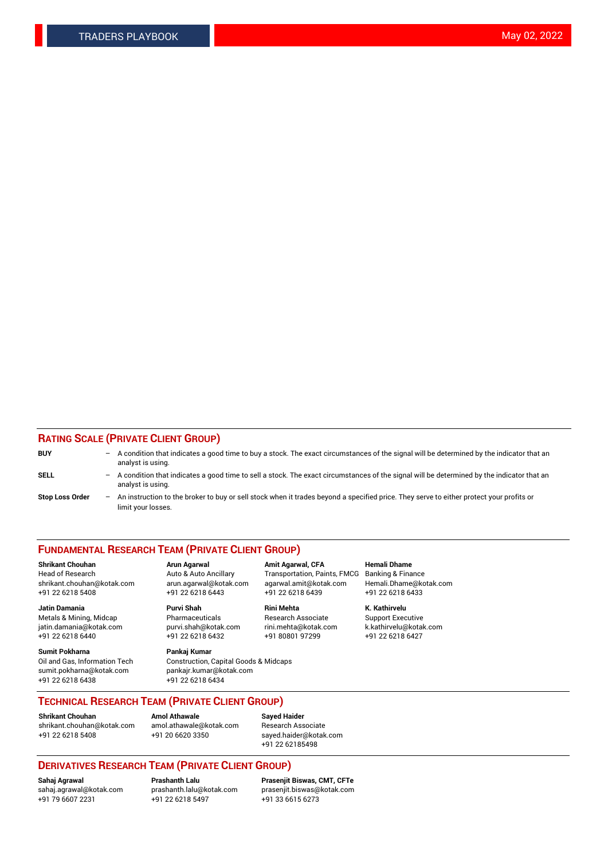# **RATING SCALE (PRIVATE CLIENT GROUP)**

| <b>BUY</b>             |     | $-$ A condition that indicates a good time to buy a stock. The exact circumstances of the signal will be determined by the indicator that an<br>analyst is using. |
|------------------------|-----|-------------------------------------------------------------------------------------------------------------------------------------------------------------------|
| SELL                   |     | - A condition that indicates a good time to sell a stock. The exact circumstances of the signal will be determined by the indicator that an<br>analyst is using.  |
| <b>Stop Loss Order</b> | $-$ | An instruction to the broker to buy or sell stock when it trades beyond a specified price. They serve to either protect your profits or<br>limit your losses.     |

#### **FUNDAMENTAL RESEARCH TEAM (PRIVATE CLIENT GROUP)**

**Shrikant Chouhan Arun Agarwal Amit Agarwal, CFA Hemali Dhame** Head of Research Auto & Auto Ancillary Transportation, Paints, FMCG Banking & Finance shrikant.chouhan@kotak.com arun.agarwal@kotak.com agarwal.amit@kotak.com Hemali.Dhame@kotak.com

**Jatin Damania Purvi Shah Rini Mehta K. Kathirvelu** Metals & Mining, Midcap **Pharmaceuticals** Research Associate Support Executive jatin.damania@kotak.com [purvi.shah@kotak.com](mailto:purvi.shah@kotak.com) rini.mehta@kotak.com [k.kathirvelu@kotak.com](mailto:k.kathirvelu@kotak.com)  $+91$  22 6218 6440  $+91$  22 6218 6432

**Sumit Pokharna Pankaj Kumar** sumit.pokharna@kotak.com pankajr.kumar@kotak.com +91 22 6218 6438 +91 22 6218 6434

Oil and Gas, Information Tech Construction, Capital Goods & Midcaps

+91 22 6218 5408 +91 22 6218 6443 +91 22 6218 6439 +91 22 6218 6433

**TECHNICAL RESEARCH TEAM (PRIVATE CLIENT GROUP)**

[shrikant.chouhan@kotak.com](mailto:shrikant.chouhan@kotak.com) [amol.athawale@kotak.com](mailto:amol.athawale@kotak.com) Research Associate +91 22 6218 5408 +91 20 6620 3350 [sayed.haider@kotak.com](mailto:sayed.haider@kotak.com)

**Shrikant Chouhan Amol Athawale Sayed Haider**

+91 22 62185498

# **DERIVATIVES RESEARCH TEAM (PRIVATE CLIENT GROUP)**

 $+91$  22 6218 5497

**Sahaj Agrawal Prashanth Lalu Prasenjit Biswas, CMT, CFTe** [sahaj.agrawal@kotak.com](mailto:sahaj.agrawal@kotak.com) [prashanth.lalu@kotak.com](mailto:prashanth.lalu@kotak.com) [prasenjit.biswas@kotak.com](mailto:prasenjit.biswas@kotak.com)